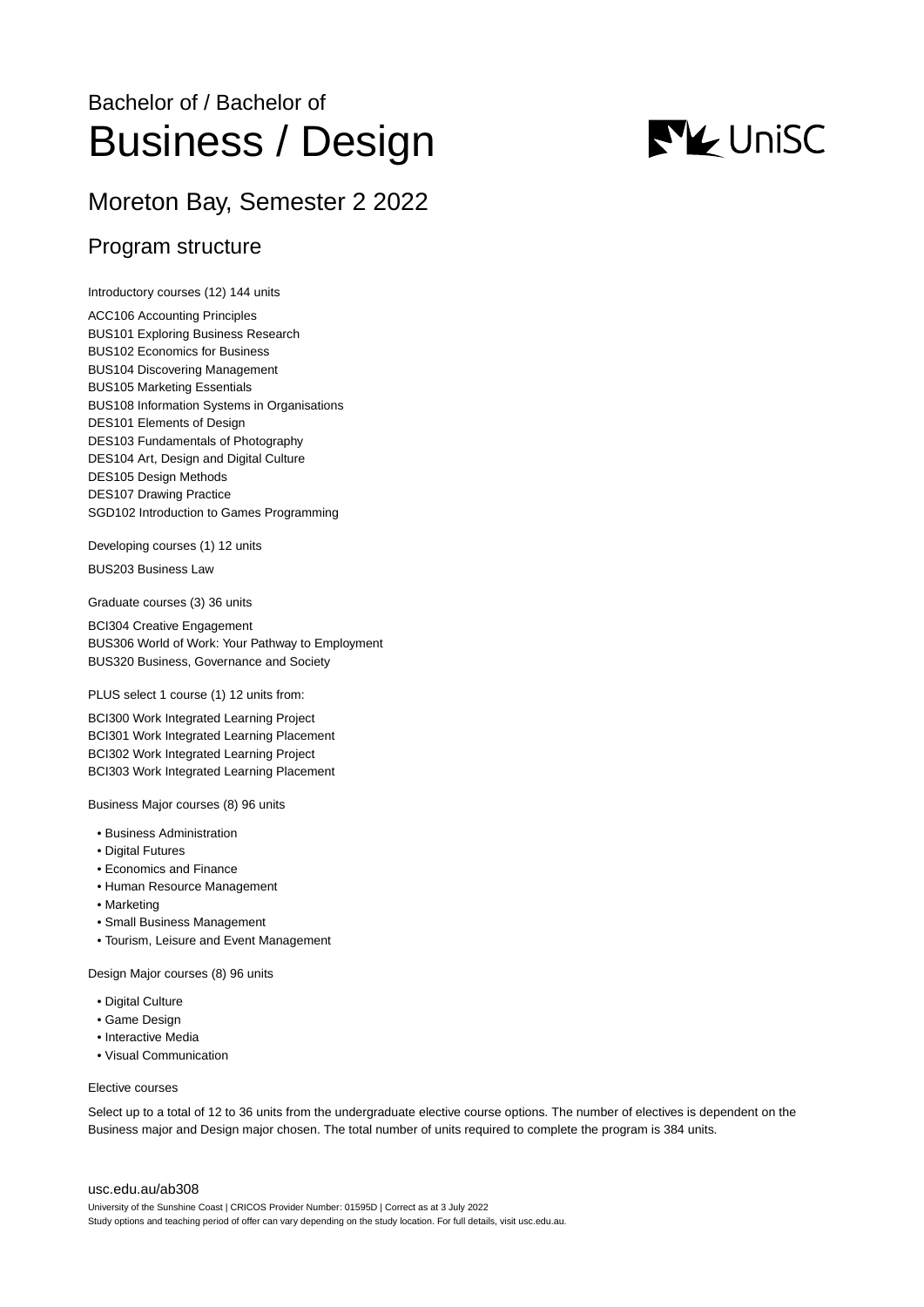# Bachelor of / Bachelor of Business / Design

# Moreton Bay, Semester 2 2022

# Program structure

Introductory courses (12) 144 units

ACC106 Accounting Principles BUS101 Exploring Business Research BUS102 Economics for Business BUS104 Discovering Management BUS105 Marketing Essentials BUS108 Information Systems in Organisations DES101 Elements of Design DES103 Fundamentals of Photography DES104 Art, Design and Digital Culture DES105 Design Methods DES107 Drawing Practice SGD102 Introduction to Games Programming

Developing courses (1) 12 units

BUS203 Business Law

Graduate courses (3) 36 units

BCI304 Creative Engagement BUS306 World of Work: Your Pathway to Employment BUS320 Business, Governance and Society

PLUS select 1 course (1) 12 units from:

BCI300 Work Integrated Learning Project BCI301 Work Integrated Learning Placement BCI302 Work Integrated Learning Project BCI303 Work Integrated Learning Placement

Business Major courses (8) 96 units

- Business Administration
- Digital Futures
- Economics and Finance
- Human Resource Management
- Marketing
- Small Business Management
- Tourism, Leisure and Event Management

Design Major courses (8) 96 units

- Digital Culture
- Game Design
- Interactive Media
- Visual Communication

#### Elective courses

Select up to a total of 12 to 36 units from the undergraduate elective course options. The number of electives is dependent on the Business major and Design major chosen. The total number of units required to complete the program is 384 units.

#### [usc.edu.au/ab308](https://www.usc.edu.au/ab308)

University of the Sunshine Coast | CRICOS Provider Number: 01595D | Correct as at 3 July 2022 Study options and teaching period of offer can vary depending on the study location. For full details, visit usc.edu.au.

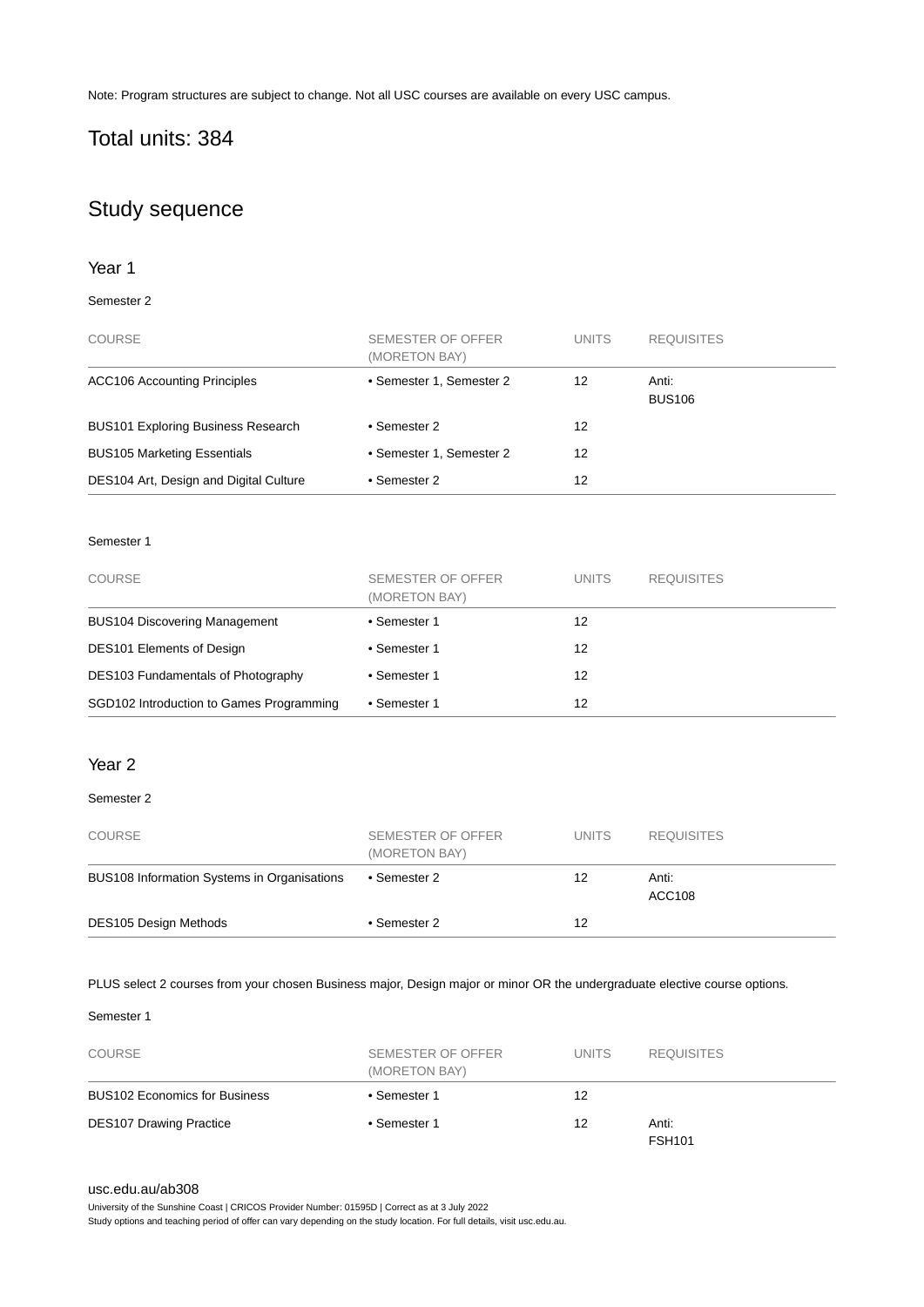Note: Program structures are subject to change. Not all USC courses are available on every USC campus.

# Total units: 384

# Study sequence

# Year 1

# Semester 2

| <b>COURSE</b>                             | SEMESTER OF OFFER<br>(MORETON BAY) | <b>UNITS</b> | <b>REQUISITES</b>      |
|-------------------------------------------|------------------------------------|--------------|------------------------|
| <b>ACC106 Accounting Principles</b>       | • Semester 1, Semester 2           | 12           | Anti:<br><b>BUS106</b> |
| <b>BUS101 Exploring Business Research</b> | • Semester 2                       | 12           |                        |
| <b>BUS105 Marketing Essentials</b>        | • Semester 1, Semester 2           | 12           |                        |
| DES104 Art, Design and Digital Culture    | • Semester 2                       | 12           |                        |

## Semester 1

| <b>COURSE</b>                            | SEMESTER OF OFFER<br>(MORETON BAY) | <b>UNITS</b> | <b>REQUISITES</b> |
|------------------------------------------|------------------------------------|--------------|-------------------|
| <b>BUS104 Discovering Management</b>     | • Semester 1                       | 12           |                   |
| <b>DES101 Elements of Design</b>         | • Semester 1                       | 12           |                   |
| DES103 Fundamentals of Photography       | • Semester 1                       | 12           |                   |
| SGD102 Introduction to Games Programming | • Semester 1                       | 12           |                   |

# Year 2

## Semester 2

| <b>COURSE</b>                               | SEMESTER OF OFFER<br>(MORETON BAY) | UNITS. | <b>REQUISITES</b> |
|---------------------------------------------|------------------------------------|--------|-------------------|
| BUS108 Information Systems in Organisations | • Semester 2                       | 12     | Anti:<br>ACC108   |
| <b>DES105 Design Methods</b>                | • Semester 2                       | 12     |                   |

## PLUS select 2 courses from your chosen Business major, Design major or minor OR the undergraduate elective course options.

# Semester 1

| <b>COURSE</b>                        | SEMESTER OF OFFER<br>(MORETON BAY) | <b>UNITS</b> | <b>REQUISITES</b>      |
|--------------------------------------|------------------------------------|--------------|------------------------|
| <b>BUS102 Economics for Business</b> | • Semester 1                       | 12           |                        |
| <b>DES107 Drawing Practice</b>       | • Semester 1                       | 12           | Anti:<br><b>FSH101</b> |

#### [usc.edu.au/ab308](https://www.usc.edu.au/ab308)

University of the Sunshine Coast | CRICOS Provider Number: 01595D | Correct as at 3 July 2022

Study options and teaching period of offer can vary depending on the study location. For full details, visit usc.edu.au.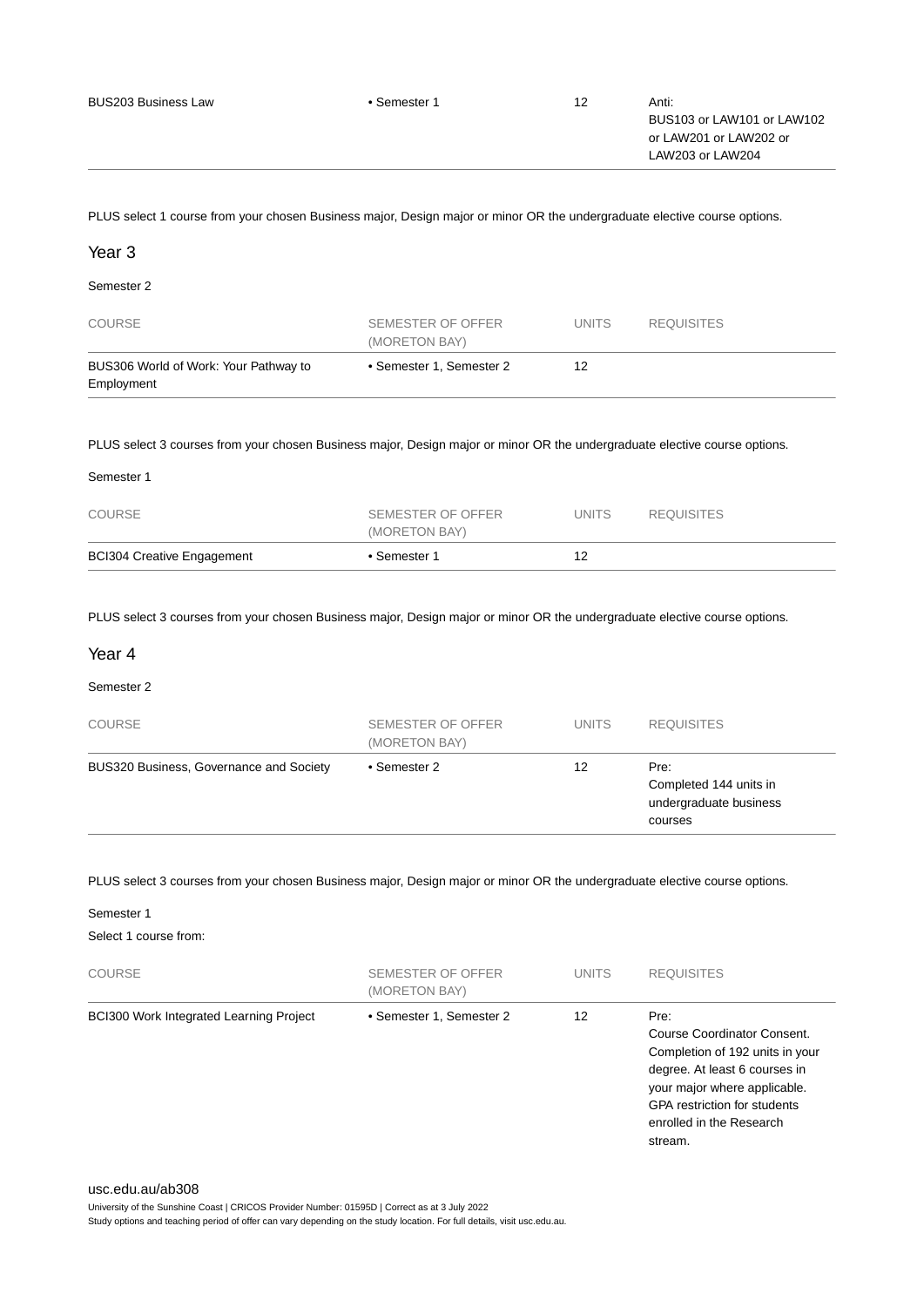| <b>BUS203 Business Law</b> | • Semester 1 | 12 | Anti:<br>BUS103 or LAW101 or LAW102<br>or LAW201 or LAW202 or<br>LAW203 or LAW204 |
|----------------------------|--------------|----|-----------------------------------------------------------------------------------|
|                            |              |    |                                                                                   |

PLUS select 1 course from your chosen Business major, Design major or minor OR the undergraduate elective course options.

# Year 3

# Semester 2

| <b>COURSE</b>                                       | SEMESTER OF OFFER<br>(MORETON BAY) | <b>UNITS</b> | <b>REQUISITES</b> |
|-----------------------------------------------------|------------------------------------|--------------|-------------------|
| BUS306 World of Work: Your Pathway to<br>Employment | • Semester 1, Semester 2           | 12           |                   |

### PLUS select 3 courses from your chosen Business major, Design major or minor OR the undergraduate elective course options.

| <b>BCI304 Creative Engagement</b> | • Semester 1                       | 12           |                   |  |
|-----------------------------------|------------------------------------|--------------|-------------------|--|
| COURSE                            | SEMESTER OF OFFER<br>(MORETON BAY) | <b>UNITS</b> | <b>REQUISITES</b> |  |
| Semester 1                        |                                    |              |                   |  |

PLUS select 3 courses from your chosen Business major, Design major or minor OR the undergraduate elective course options.

## Year 4

#### Semester 2

| <b>COURSE</b>                           | SEMESTER OF OFFER<br>(MORETON BAY) | <b>UNITS</b> | <b>REQUISITES</b>                                                   |
|-----------------------------------------|------------------------------------|--------------|---------------------------------------------------------------------|
| BUS320 Business, Governance and Society | • Semester 2                       | 12           | Pre:<br>Completed 144 units in<br>undergraduate business<br>courses |

PLUS select 3 courses from your chosen Business major, Design major or minor OR the undergraduate elective course options.

#### Semester 1

Select 1 course from:

| <b>COURSE</b>                           | <b>SEMESTER OF OFFER</b><br>(MORETON BAY) | <b>UNITS</b> | <b>REQUISITES</b>                                                                                                                                                                                                     |
|-----------------------------------------|-------------------------------------------|--------------|-----------------------------------------------------------------------------------------------------------------------------------------------------------------------------------------------------------------------|
| BCI300 Work Integrated Learning Project | • Semester 1, Semester 2                  | 12           | Pre:<br>Course Coordinator Consent.<br>Completion of 192 units in your<br>degree. At least 6 courses in<br>your major where applicable.<br><b>GPA</b> restriction for students<br>enrolled in the Research<br>stream. |

Study options and teaching period of offer can vary depending on the study location. For full details, visit usc.edu.au.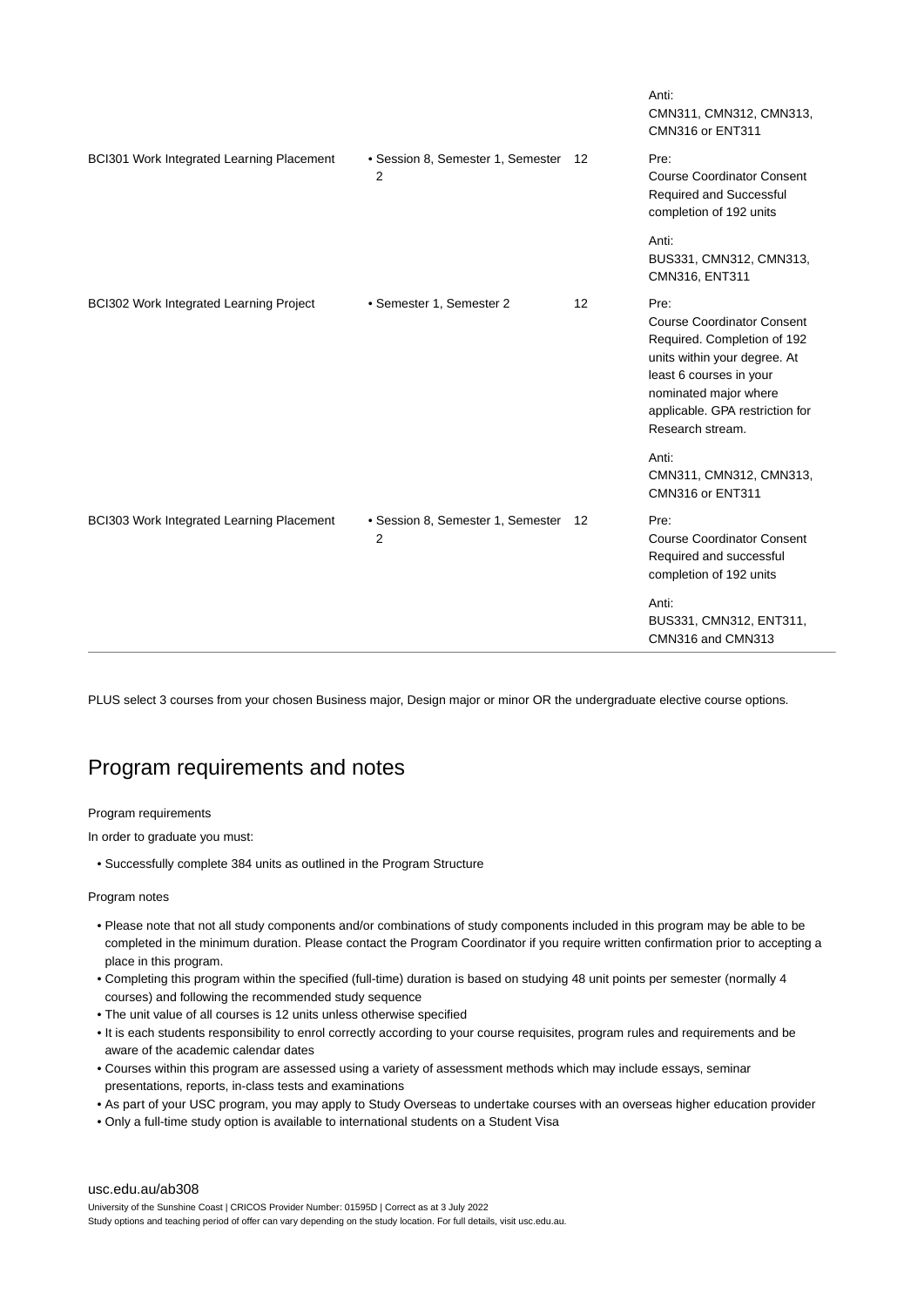|                                           |                                           |    | Anti:<br>CMN311, CMN312, CMN313,<br>CMN316 or ENT311                                                                                                                                                                |
|-------------------------------------------|-------------------------------------------|----|---------------------------------------------------------------------------------------------------------------------------------------------------------------------------------------------------------------------|
| BCI301 Work Integrated Learning Placement | • Session 8, Semester 1, Semester 12<br>2 |    | Pre:<br><b>Course Coordinator Consent</b><br><b>Required and Successful</b><br>completion of 192 units                                                                                                              |
|                                           |                                           |    | Anti:<br>BUS331, CMN312, CMN313,<br>CMN316, ENT311                                                                                                                                                                  |
| BCI302 Work Integrated Learning Project   | • Semester 1, Semester 2                  | 12 | Pre:<br><b>Course Coordinator Consent</b><br>Required. Completion of 192<br>units within your degree. At<br>least 6 courses in your<br>nominated major where<br>applicable. GPA restriction for<br>Research stream. |
|                                           |                                           |    | Anti:<br>CMN311, CMN312, CMN313,<br>CMN316 or ENT311                                                                                                                                                                |
| BCI303 Work Integrated Learning Placement | • Session 8, Semester 1, Semester 12<br>2 |    | Pre:<br><b>Course Coordinator Consent</b><br>Required and successful<br>completion of 192 units                                                                                                                     |
|                                           |                                           |    | Anti:<br>BUS331, CMN312, ENT311,<br>CMN316 and CMN313                                                                                                                                                               |

PLUS select 3 courses from your chosen Business major, Design major or minor OR the undergraduate elective course options.

# Program requirements and notes

### Program requirements

In order to graduate you must:

• Successfully complete 384 units as outlined in the Program Structure

#### Program notes

- Please note that not all study components and/or combinations of study components included in this program may be able to be completed in the minimum duration. Please contact the Program Coordinator if you require written confirmation prior to accepting a place in this program.
- Completing this program within the specified (full-time) duration is based on studying 48 unit points per semester (normally 4 courses) and following the recommended study sequence
- The unit value of all courses is 12 units unless otherwise specified
- It is each students responsibility to enrol correctly according to your course requisites, program rules and requirements and be aware of the academic calendar dates
- Courses within this program are assessed using a variety of assessment methods which may include essays, seminar presentations, reports, in-class tests and examinations
- As part of your USC program, you may apply to Study Overseas to undertake courses with an overseas higher education provider
- Only a full-time study option is available to international students on a Student Visa

#### [usc.edu.au/ab308](https://www.usc.edu.au/ab308)

University of the Sunshine Coast | CRICOS Provider Number: 01595D | Correct as at 3 July 2022 Study options and teaching period of offer can vary depending on the study location. For full details, visit usc.edu.au.